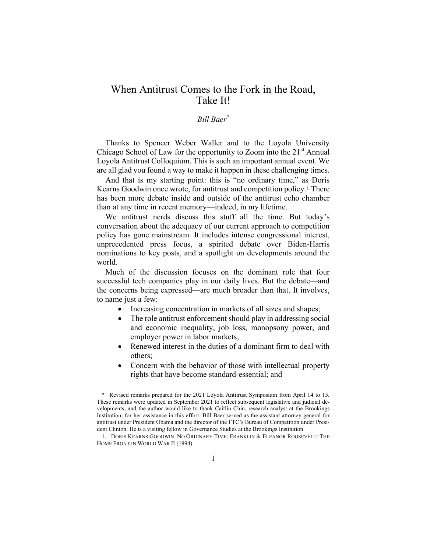## When Antitrust Comes to the Fork in the Road, Take It!

## Bill Baer\*

Thanks to Spencer Weber Waller and to the Loyola University Chicago School of Law for the opportunity to Zoom into the  $21<sup>st</sup>$  Annual Loyola Antitrust Colloquium. This is such an important annual event. We are all glad you found a way to make it happen in these challenging times.

And that is my starting point: this is "no ordinary time," as Doris Kearns Goodwin once wrote, for antitrust and competition policy.1 There has been more debate inside and outside of the antitrust echo chamber than at any time in recent memory—indeed, in my lifetime.

We antitrust nerds discuss this stuff all the time. But today's conversation about the adequacy of our current approach to competition policy has gone mainstream. It includes intense congressional interest, unprecedented press focus, a spirited debate over Biden-Harris nominations to key posts, and a spotlight on developments around the world.

Much of the discussion focuses on the dominant role that four successful tech companies play in our daily lives. But the debate—and the concerns being expressed—are much broader than that. It involves, to name just a few:

- Increasing concentration in markets of all sizes and shapes;
- The role antitrust enforcement should play in addressing social and economic inequality, job loss, monopsony power, and employer power in labor markets;
- Renewed interest in the duties of a dominant firm to deal with others;
- Concern with the behavior of those with intellectual property rights that have become standard-essential; and

<sup>\*</sup> Revised remarks prepared for the 2021 Loyola Antitrust Symposium from April 14 to 15. These remarks were updated in September 2021 to reflect subsequent legislative and judicial developments, and the author would like to thank Caitlin Chin, research analyst at the Brookings Institution, for her assistance in this effort. Bill Baer served as the assistant attorney general for antitrust under President Obama and the director of the FTC's Bureau of Competition under President Clinton. He is a visiting fellow in Governance Studies at the Brookings Institution.

<sup>1.</sup> DORIS KEARNS GOODWIN, NO ORDINARY TIME: FRANKLIN & ELEANOR ROOSEVELT: THE HOME FRONT IN WORLD WAR II (1994).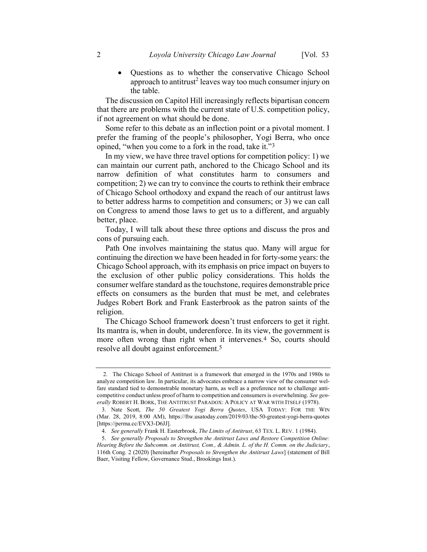Questions as to whether the conservative Chicago School approach to antitrust<sup>2</sup> leaves way too much consumer injury on the table.

The discussion on Capitol Hill increasingly reflects bipartisan concern that there are problems with the current state of U.S. competition policy, if not agreement on what should be done.

Some refer to this debate as an inflection point or a pivotal moment. I prefer the framing of the people's philosopher, Yogi Berra, who once opined, "when you come to a fork in the road, take it."3

In my view, we have three travel options for competition policy: 1) we can maintain our current path, anchored to the Chicago School and its narrow definition of what constitutes harm to consumers and competition; 2) we can try to convince the courts to rethink their embrace of Chicago School orthodoxy and expand the reach of our antitrust laws to better address harms to competition and consumers; or 3) we can call on Congress to amend those laws to get us to a different, and arguably better, place.

Today, I will talk about these three options and discuss the pros and cons of pursuing each.

Path One involves maintaining the status quo. Many will argue for continuing the direction we have been headed in for forty-some years: the Chicago School approach, with its emphasis on price impact on buyers to the exclusion of other public policy considerations. This holds the consumer welfare standard as the touchstone, requires demonstrable price effects on consumers as the burden that must be met, and celebrates Judges Robert Bork and Frank Easterbrook as the patron saints of the religion.

The Chicago School framework doesn't trust enforcers to get it right. Its mantra is, when in doubt, underenforce. In its view, the government is more often wrong than right when it intervenes.4 So, courts should resolve all doubt against enforcement.5

 <sup>2.</sup> The Chicago School of Antitrust is a framework that emerged in the 1970s and 1980s to analyze competition law. In particular, its advocates embrace a narrow view of the consumer welfare standard tied to demonstrable monetary harm, as well as a preference not to challenge anticompetitive conduct unless proof of harm to competition and consumers is overwhelming. See generally ROBERT H. BORK, THE ANTITRUST PARADOX: A POLICY AT WAR WITH ITSELF (1978).

<sup>3.</sup> Nate Scott, The 50 Greatest Yogi Berra Quotes, USA TODAY: FOR THE WIN (Mar. 28, 2019, 8:00 AM), https://ftw.usatoday.com/2019/03/the-50-greatest-yogi-berra-quotes [https://perma.cc/EVX3-D6JJ].

<sup>4.</sup> See generally Frank H. Easterbrook, The Limits of Antitrust, 63 TEX. L. REV. 1 (1984).

<sup>5.</sup> See generally Proposals to Strengthen the Antitrust Laws and Restore Competition Online: Hearing Before the Subcomm. on Antitrust, Com., & Admin. L. of the H. Comm. on the Judiciary, 116th Cong. 2 (2020) [hereinafter Proposals to Strengthen the Antitrust Laws] (statement of Bill Baer, Visiting Fellow, Governance Stud., Brookings Inst.).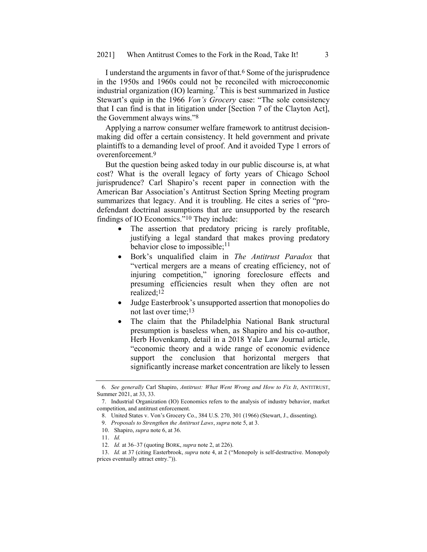I understand the arguments in favor of that.6 Some of the jurisprudence in the 1950s and 1960s could not be reconciled with microeconomic industrial organization (IO) learning.<sup>7</sup> This is best summarized in Justice Stewart's quip in the 1966 Von's Grocery case: "The sole consistency that I can find is that in litigation under [Section 7 of the Clayton Act], the Government always wins."8

Applying a narrow consumer welfare framework to antitrust decisionmaking did offer a certain consistency. It held government and private plaintiffs to a demanding level of proof. And it avoided Type 1 errors of overenforcement.9

But the question being asked today in our public discourse is, at what cost? What is the overall legacy of forty years of Chicago School jurisprudence? Carl Shapiro's recent paper in connection with the American Bar Association's Antitrust Section Spring Meeting program summarizes that legacy. And it is troubling. He cites a series of "prodefendant doctrinal assumptions that are unsupported by the research findings of IO Economics."10 They include:

- The assertion that predatory pricing is rarely profitable, justifying a legal standard that makes proving predatory behavior close to impossible;<sup>11</sup>
- Bork's unqualified claim in The Antitrust Paradox that "vertical mergers are a means of creating efficiency, not of injuring competition," ignoring foreclosure effects and presuming efficiencies result when they often are not realized;12
- Judge Easterbrook's unsupported assertion that monopolies do not last over time;13
- The claim that the Philadelphia National Bank structural presumption is baseless when, as Shapiro and his co-author, Herb Hovenkamp, detail in a 2018 Yale Law Journal article, "economic theory and a wide range of economic evidence support the conclusion that horizontal mergers that significantly increase market concentration are likely to lessen

<sup>6.</sup> See generally Carl Shapiro, Antitrust: What Went Wrong and How to Fix It, ANTITRUST, Summer 2021, at 33, 33.

<sup>7.</sup> Industrial Organization (IO) Economics refers to the analysis of industry behavior, market competition, and antitrust enforcement.

<sup>8.</sup> United States v. Von's Grocery Co., 384 U.S. 270, 301 (1966) (Stewart, J., dissenting).

<sup>9.</sup> Proposals to Strengthen the Antitrust Laws, supra note 5, at 3.

<sup>10.</sup> Shapiro, supra note 6, at 36.

<sup>11.</sup> Id.

<sup>12.</sup> Id. at 36–37 (quoting BORK, supra note 2, at 226).

<sup>13.</sup> Id. at 37 (citing Easterbrook, supra note 4, at 2 ("Monopoly is self-destructive. Monopoly prices eventually attract entry.")).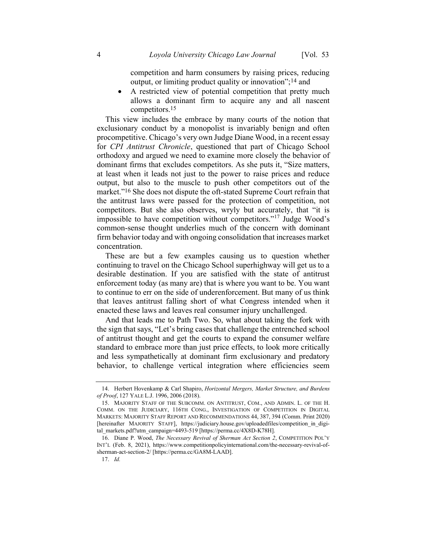competition and harm consumers by raising prices, reducing output, or limiting product quality or innovation";14 and

 A restricted view of potential competition that pretty much allows a dominant firm to acquire any and all nascent competitors.15

This view includes the embrace by many courts of the notion that exclusionary conduct by a monopolist is invariably benign and often procompetitive. Chicago's very own Judge Diane Wood, in a recent essay for CPI Antitrust Chronicle, questioned that part of Chicago School orthodoxy and argued we need to examine more closely the behavior of dominant firms that excludes competitors. As she puts it, "Size matters, at least when it leads not just to the power to raise prices and reduce output, but also to the muscle to push other competitors out of the market."16 She does not dispute the oft-stated Supreme Court refrain that the antitrust laws were passed for the protection of competition, not competitors. But she also observes, wryly but accurately, that "it is impossible to have competition without competitors."<sup>17</sup> Judge Wood's common-sense thought underlies much of the concern with dominant firm behavior today and with ongoing consolidation that increases market concentration.

These are but a few examples causing us to question whether continuing to travel on the Chicago School superhighway will get us to a desirable destination. If you are satisfied with the state of antitrust enforcement today (as many are) that is where you want to be. You want to continue to err on the side of underenforcement. But many of us think that leaves antitrust falling short of what Congress intended when it enacted these laws and leaves real consumer injury unchallenged.

And that leads me to Path Two. So, what about taking the fork with the sign that says, "Let's bring cases that challenge the entrenched school of antitrust thought and get the courts to expand the consumer welfare standard to embrace more than just price effects, to look more critically and less sympathetically at dominant firm exclusionary and predatory behavior, to challenge vertical integration where efficiencies seem

<sup>14.</sup> Herbert Hovenkamp & Carl Shapiro, Horizontal Mergers, Market Structure, and Burdens of Proof, 127 YALE L.J. 1996, 2006 (2018).

<sup>15.</sup> MAJORITY STAFF OF THE SUBCOMM. ON ANTITRUST, COM., AND ADMIN. L. OF THE H. COMM. ON THE JUDICIARY, 116TH CONG., INVESTIGATION OF COMPETITION IN DIGITAL MARKETS: MAJORITY STAFF REPORT AND RECOMMENDATIONS 44, 387, 394 (Comm. Print 2020) [hereinafter MAJORITY STAFF], https://judiciary.house.gov/uploadedfiles/competition in digital\_markets.pdf?utm\_campaign=4493-519 [https://perma.cc/4X8D-K78H].

<sup>16.</sup> Diane P. Wood, The Necessary Revival of Sherman Act Section 2, COMPETITION POL'<sup>Y</sup> INT'L (Feb. 8, 2021), https://www.competitionpolicyinternational.com/the-necessary-revival-ofsherman-act-section-2/ [https://perma.cc/GA8M-LAAD].

<sup>17.</sup> Id.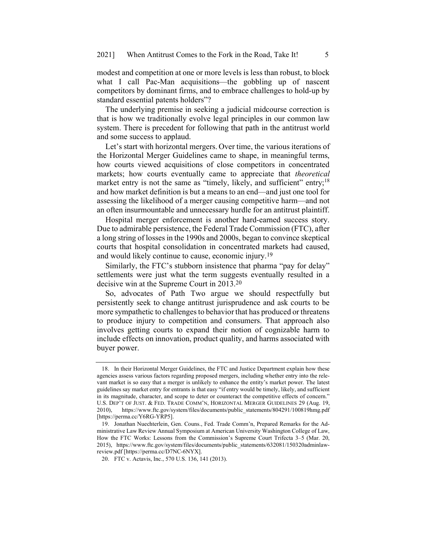modest and competition at one or more levels is less than robust, to block what I call Pac-Man acquisitions—the gobbling up of nascent competitors by dominant firms, and to embrace challenges to hold-up by standard essential patents holders"?

The underlying premise in seeking a judicial midcourse correction is that is how we traditionally evolve legal principles in our common law system. There is precedent for following that path in the antitrust world and some success to applaud.

Let's start with horizontal mergers. Over time, the various iterations of the Horizontal Merger Guidelines came to shape, in meaningful terms, how courts viewed acquisitions of close competitors in concentrated markets; how courts eventually came to appreciate that theoretical market entry is not the same as "timely, likely, and sufficient" entry;  $18$ and how market definition is but a means to an end—and just one tool for assessing the likelihood of a merger causing competitive harm—and not an often insurmountable and unnecessary hurdle for an antitrust plaintiff.

Hospital merger enforcement is another hard-earned success story. Due to admirable persistence, the Federal Trade Commission (FTC), after a long string of losses in the 1990s and 2000s, began to convince skeptical courts that hospital consolidation in concentrated markets had caused, and would likely continue to cause, economic injury.19

Similarly, the FTC's stubborn insistence that pharma "pay for delay" settlements were just what the term suggests eventually resulted in a decisive win at the Supreme Court in 2013.20

So, advocates of Path Two argue we should respectfully but persistently seek to change antitrust jurisprudence and ask courts to be more sympathetic to challenges to behavior that has produced or threatens to produce injury to competition and consumers. That approach also involves getting courts to expand their notion of cognizable harm to include effects on innovation, product quality, and harms associated with buyer power.

<sup>18.</sup> In their Horizontal Merger Guidelines, the FTC and Justice Department explain how these agencies assess various factors regarding proposed mergers, including whether entry into the relevant market is so easy that a merger is unlikely to enhance the entity's market power. The latest guidelines say market entry for entrants is that easy "if entry would be timely, likely, and sufficient in its magnitude, character, and scope to deter or counteract the competitive effects of concern." U.S. DEP'T OF JUST. & FED. TRADE COMM'N, HORIZONTAL MERGER GUIDELINES 29 (Aug. 19, 2010), https://www.ftc.gov/system/files/documents/public\_statements/804291/100819hmg.pdf [https://perma.cc/Y6RG-YRP5].

<sup>19.</sup> Jonathan Nuechterlein, Gen. Couns., Fed. Trade Comm'n, Prepared Remarks for the Administrative Law Review Annual Symposium at American University Washington College of Law, How the FTC Works: Lessons from the Commission's Supreme Court Trifecta 3–5 (Mar. 20, 2015), https://www.ftc.gov/system/files/documents/public\_statements/632081/150320adminlawreview.pdf [https://perma.cc/D7NC-6NYX].

<sup>20.</sup> FTC v. Actavis, Inc., 570 U.S. 136, 141 (2013).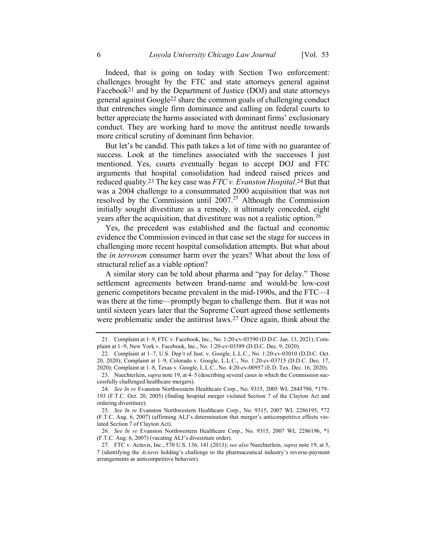Indeed, that is going on today with Section Two enforcement: challenges brought by the FTC and state attorneys general against Facebook21 and by the Department of Justice (DOJ) and state attorneys general against Google22 share the common goals of challenging conduct that entrenches single firm dominance and calling on federal courts to better appreciate the harms associated with dominant firms' exclusionary conduct. They are working hard to move the antitrust needle towards more critical scrutiny of dominant firm behavior.

But let's be candid. This path takes a lot of time with no guarantee of success. Look at the timelines associated with the successes I just mentioned. Yes, courts eventually began to accept DOJ and FTC arguments that hospital consolidation had indeed raised prices and reduced quality.<sup>23</sup> The key case was  $FTC$  v. Evanston Hospital.<sup>24</sup> But that was a 2004 challenge to a consummated 2000 acquisition that was not resolved by the Commission until  $2007<sup>25</sup>$  Although the Commission initially sought divestiture as a remedy, it ultimately conceded, eight years after the acquisition, that divestiture was not a realistic option.<sup>26</sup>

Yes, the precedent was established and the factual and economic evidence the Commission evinced in that case set the stage for success in challenging more recent hospital consolidation attempts. But what about the in terrorem consumer harm over the years? What about the loss of structural relief as a viable option?

A similar story can be told about pharma and "pay for delay." Those settlement agreements between brand-name and would-be low-cost generic competitors became prevalent in the mid-1990s, and the FTC—I was there at the time—promptly began to challenge them. But it was not until sixteen years later that the Supreme Court agreed those settlements were problematic under the antitrust laws.<sup>27</sup> Once again, think about the

<sup>21.</sup> Complaint at 1–9, FTC v. Facebook, Inc., No. 1:20-cv-03590 (D.D.C. Jan. 13, 2021); Complaint at 1–9, New York v. Facebook, Inc., No. 1:20-cv-03589 (D.D.C. Dec. 9, 2020).

<sup>22.</sup> Complaint at 1–7, U.S. Dep't of Just. v. Google, L.L.C., No. 1:20-cv-03010 (D.D.C. Oct. 20, 2020); Complaint at 1–9, Colorado v. Google, L.L.C., No. 1:20-cv-03715 (D.D.C. Dec. 17, 2020); Complaint at 1–8, Texas v. Google, L.L.C., No. 4:20-cv-00957 (E.D. Tex. Dec. 16, 2020).

<sup>23.</sup> Nuechterlein, supra note 19, at 4–5 (describing several cases in which the Commission successfully challenged healthcare mergers).

<sup>24.</sup> See In re Evanston Northwestern Healthcare Corp., No. 9315, 2005 WL 2845790, \*179– 193 (F.T.C. Oct. 20, 2005) (finding hospital merger violated Section 7 of the Clayton Act and ordering divestiture).

<sup>25.</sup> See In re Evanston Northwestern Healthcare Corp., No. 9315, 2007 WL 2286195, \*72 (F.T.C. Aug. 6, 2007) (affirming ALJ's determination that merger's anticompetitive effects violated Section 7 of Clayton Act).

<sup>26.</sup> See In re Evanston Northwestern Healthcare Corp., No. 9315, 2007 WL 2286196, \*1 (F.T.C. Aug. 6, 2007) (vacating ALJ's divestiture order).

<sup>27.</sup> FTC v. Actavis, Inc., 570 U.S. 136, 141 (2013); see also Nuechterlein, supra note 19, at 5, 7 (identifying the Actavis holding's challenge to the pharmaceutical industry's reverse-payment arrangements as anticompetitive behavior).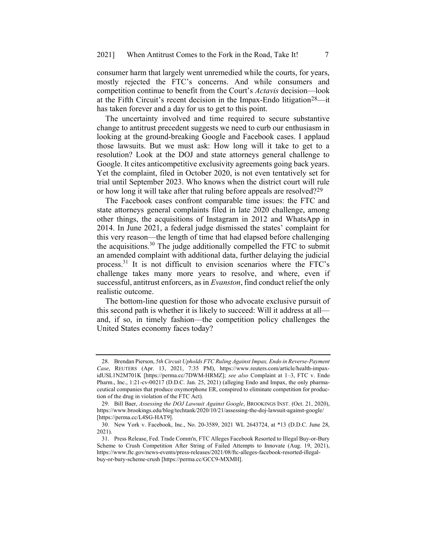consumer harm that largely went unremedied while the courts, for years, mostly rejected the FTC's concerns. And while consumers and competition continue to benefit from the Court's Actavis decision—look at the Fifth Circuit's recent decision in the Impax-Endo litigation28—it has taken forever and a day for us to get to this point.

The uncertainty involved and time required to secure substantive change to antitrust precedent suggests we need to curb our enthusiasm in looking at the ground-breaking Google and Facebook cases. I applaud those lawsuits. But we must ask: How long will it take to get to a resolution? Look at the DOJ and state attorneys general challenge to Google. It cites anticompetitive exclusivity agreements going back years. Yet the complaint, filed in October 2020, is not even tentatively set for trial until September 2023. Who knows when the district court will rule or how long it will take after that ruling before appeals are resolved?29

The Facebook cases confront comparable time issues: the FTC and state attorneys general complaints filed in late 2020 challenge, among other things, the acquisitions of Instagram in 2012 and WhatsApp in 2014. In June 2021, a federal judge dismissed the states' complaint for this very reason—the length of time that had elapsed before challenging the acquisitions.<sup>30</sup> The judge additionally compelled the FTC to submit an amended complaint with additional data, further delaying the judicial process.<sup>31</sup> It is not difficult to envision scenarios where the FTC's challenge takes many more years to resolve, and where, even if successful, antitrust enforcers, as in *Evanston*, find conduct relief the only realistic outcome.

The bottom-line question for those who advocate exclusive pursuit of this second path is whether it is likely to succeed: Will it address at all and, if so, in timely fashion—the competition policy challenges the United States economy faces today?

<sup>28.</sup> Brendan Pierson, 5th Circuit Upholds FTC Ruling Against Impax, Endo in Reverse-Payment Case, REUTERS (Apr. 13, 2021, 7:35 PM), https://www.reuters.com/article/health-impaxidUSL1N2M701K [https://perma.cc/7DWM-HRMZ]; see also Complaint at 1-3, FTC v. Endo Pharm., Inc., 1:21-cv-00217 (D.D.C. Jan. 25, 2021) (alleging Endo and Impax, the only pharmaceutical companies that produce oxymorphone ER, conspired to eliminate competition for production of the drug in violation of the FTC Act).

<sup>29.</sup> Bill Baer, Assessing the DOJ Lawsuit Against Google, BROOKINGS INST. (Oct. 21, 2020), https://www.brookings.edu/blog/techtank/2020/10/21/assessing-the-doj-lawsuit-against-google/ [https://perma.cc/L4SG-HAT9].

<sup>30.</sup> New York v. Facebook, Inc., No. 20-3589, 2021 WL 2643724, at \*13 (D.D.C. June 28, 2021).

<sup>31.</sup> Press Release, Fed. Trade Comm'n, FTC Alleges Facebook Resorted to Illegal Buy-or-Bury Scheme to Crush Competition After String of Failed Attempts to Innovate (Aug. 19, 2021), https://www.ftc.gov/news-events/press-releases/2021/08/ftc-alleges-facebook-resorted-illegalbuy-or-bury-scheme-crush [https://perma.cc/GCC9-MXMH].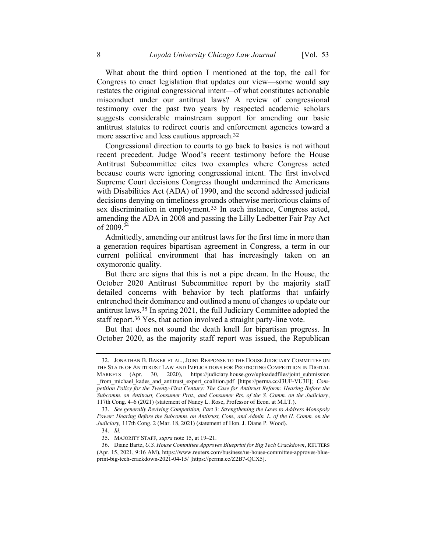What about the third option I mentioned at the top, the call for Congress to enact legislation that updates our view—some would say restates the original congressional intent—of what constitutes actionable misconduct under our antitrust laws? A review of congressional testimony over the past two years by respected academic scholars suggests considerable mainstream support for amending our basic antitrust statutes to redirect courts and enforcement agencies toward a more assertive and less cautious approach.32

Congressional direction to courts to go back to basics is not without recent precedent. Judge Wood's recent testimony before the House Antitrust Subcommittee cites two examples where Congress acted because courts were ignoring congressional intent. The first involved Supreme Court decisions Congress thought undermined the Americans with Disabilities Act (ADA) of 1990, and the second addressed judicial decisions denying on timeliness grounds otherwise meritorious claims of sex discrimination in employment.<sup>33</sup> In each instance, Congress acted, amending the ADA in 2008 and passing the Lilly Ledbetter Fair Pay Act of 2009.<sup>34</sup>

Admittedly, amending our antitrust laws for the first time in more than a generation requires bipartisan agreement in Congress, a term in our current political environment that has increasingly taken on an oxymoronic quality.

But there are signs that this is not a pipe dream. In the House, the October 2020 Antitrust Subcommittee report by the majority staff detailed concerns with behavior by tech platforms that unfairly entrenched their dominance and outlined a menu of changes to update our antitrust laws.35 In spring 2021, the full Judiciary Committee adopted the staff report.<sup>36</sup> Yes, that action involved a straight party-line vote.

But that does not sound the death knell for bipartisan progress. In October 2020, as the majority staff report was issued, the Republican

<sup>32.</sup> JONATHAN B. BAKER ET AL., JOINT RESPONSE TO THE HOUSE JUDICIARY COMMITTEE ON THE STATE OF ANTITRUST LAW AND IMPLICATIONS FOR PROTECTING COMPETITION IN DIGITAL MARKETS (Apr. 30, 2020), https://judiciary.house.gov/uploadedfiles/joint\_submission from michael kades and antitrust expert coalition.pdf [https://perma.cc/J3UF-VU3E]; Competition Policy for the Twenty-First Century: The Case for Antitrust Reform: Hearing Before the Subcomm. on Antitrust, Consumer Prot., and Consumer Rts. of the S. Comm. on the Judiciary, 117th Cong. 4–6 (2021) (statement of Nancy L. Rose, Professor of Econ. at M.I.T.).

<sup>33.</sup> See generally Reviving Competition, Part 3: Strengthening the Laws to Address Monopoly Power: Hearing Before the Subcomm. on Antitrust, Com., and Admin. L. of the H. Comm. on the Judiciary, 117th Cong. 2 (Mar. 18, 2021) (statement of Hon. J. Diane P. Wood).

<sup>34.</sup> Id.

<sup>35.</sup> MAJORITY STAFF, supra note 15, at 19–21.

<sup>36.</sup> Diane Bartz, U.S. House Committee Approves Blueprint for Big Tech Crackdown, REUTERS (Apr. 15, 2021, 9:16 AM), https://www.reuters.com/business/us-house-committee-approves-blueprint-big-tech-crackdown-2021-04-15/ [https://perma.cc/Z2B7-QCX5].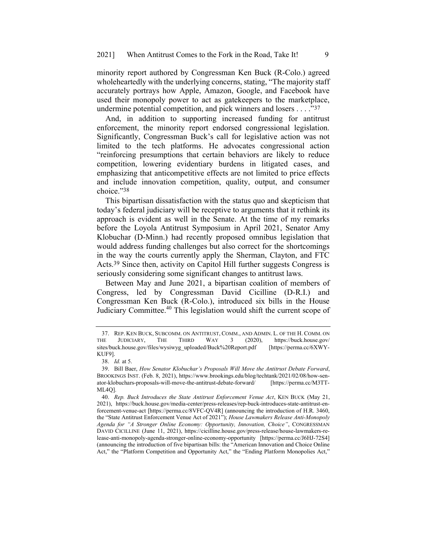minority report authored by Congressman Ken Buck (R-Colo.) agreed wholeheartedly with the underlying concerns, stating, "The majority staff accurately portrays how Apple, Amazon, Google, and Facebook have used their monopoly power to act as gatekeepers to the marketplace, undermine potential competition, and pick winners and losers . . . ."37

And, in addition to supporting increased funding for antitrust enforcement, the minority report endorsed congressional legislation. Significantly, Congressman Buck's call for legislative action was not limited to the tech platforms. He advocates congressional action "reinforcing presumptions that certain behaviors are likely to reduce competition, lowering evidentiary burdens in litigated cases, and emphasizing that anticompetitive effects are not limited to price effects and include innovation competition, quality, output, and consumer choice."38

This bipartisan dissatisfaction with the status quo and skepticism that today's federal judiciary will be receptive to arguments that it rethink its approach is evident as well in the Senate. At the time of my remarks before the Loyola Antitrust Symposium in April 2021, Senator Amy Klobuchar (D-Minn.) had recently proposed omnibus legislation that would address funding challenges but also correct for the shortcomings in the way the courts currently apply the Sherman, Clayton, and FTC Acts.39 Since then, activity on Capitol Hill further suggests Congress is seriously considering some significant changes to antitrust laws.

Between May and June 2021, a bipartisan coalition of members of Congress, led by Congressman David Cicilline (D-R.I.) and Congressman Ken Buck (R-Colo.), introduced six bills in the House Judiciary Committee.<sup>40</sup> This legislation would shift the current scope of

<sup>37.</sup> REP. KEN BUCK, SUBCOMM. ON ANTITRUST, COMM., AND ADMIN. L. OF THE H. COMM. ON HUDICIARY, THE THIRD WAY 3 (2020), https://buck.house.gov/ THE JUDICIARY, THE THIRD WAY 3 (2020), https://buck.house.gov/ sites/buck.house.gov/files/wysiwyg\_uploaded/Buck%20Report.pdf [https://perma.cc/6XWY-KUF9].

<sup>38.</sup> Id. at 5.

<sup>39.</sup> Bill Baer, How Senator Klobuchar's Proposals Will Move the Antitrust Debate Forward, BROOKINGS INST. (Feb. 8, 2021), https://www.brookings.edu/blog/techtank/2021/02/08/how-senator-klobuchars-proposals-will-move-the-antitrust-debate-forward/ [https://perma.cc/M3TT-ML4Q].

<sup>40.</sup> Rep. Buck Introduces the State Antitrust Enforcement Venue Act, KEN BUCK (May 21, 2021), https://buck.house.gov/media-center/press-releases/rep-buck-introduces-state-antitrust-enforcement-venue-act [https://perma.cc/8VFC-QV4R] (announcing the introduction of H.R. 3460, the "State Antitrust Enforcement Venue Act of 2021"); House Lawmakers Release Anti-Monopoly Agenda for "A Stronger Online Economy: Opportunity, Innovation, Choice", CONGRESSMAN DAVID CICILLINE (June 11, 2021), https://cicilline.house.gov/press-release/house-lawmakers-release-anti-monopoly-agenda-stronger-online-economy-opportunity [https://perma.cc/J6HJ-72S4] (announcing the introduction of five bipartisan bills: the "American Innovation and Choice Online Act," the "Platform Competition and Opportunity Act," the "Ending Platform Monopolies Act,"